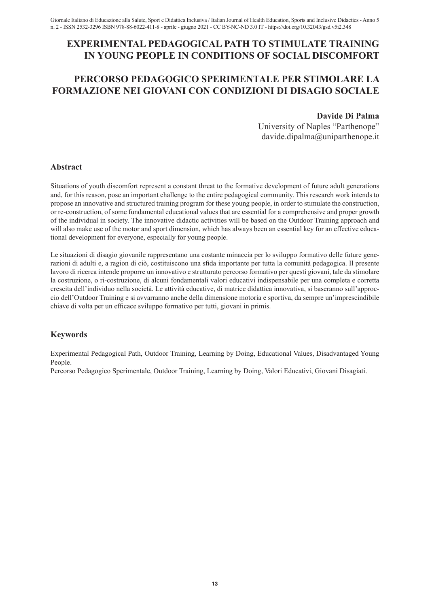## **EXPERIMENTAL PEDAGOGICAL PATH TO STIMULATE TRAINING IN YOUNG PEOPLE IN CONDITIONS OF SOCIAL DISCOMFORT**

# **PERCORSO PEDAGOGICO SPERIMENTALE PER STIMOLARE LA FORMAZIONE NEI GIOVANI CON CONDIZIONI DI DISAGIO SOCIALE**

#### **Davide Di Palma**

University of Naples "Parthenope" davide.dipalma@uniparthenope.it

#### **Abstract**

Situations of youth discomfort represent a constant threat to the formative development of future adult generations and, for this reason, pose an important challenge to the entire pedagogical community. This research work intends to propose an innovative and structured training program for these young people, in order to stimulate the construction, or re-construction, of some fundamental educational values that are essential for a comprehensive and proper growth of the individual in society. The innovative didactic activities will be based on the Outdoor Training approach and will also make use of the motor and sport dimension, which has always been an essential key for an effective educational development for everyone, especially for young people.

Le situazioni di disagio giovanile rappresentano una costante minaccia per lo sviluppo formativo delle future generazioni di adulti e, a ragion di ciò, costituiscono una sfida importante per tutta la comunità pedagogica. Il presente lavoro di ricerca intende proporre un innovativo e strutturato percorso formativo per questi giovani, tale da stimolare la costruzione, o ri-costruzione, di alcuni fondamentali valori educativi indispensabile per una completa e corretta crescita dell'individuo nella società. Le attività educative, di matrice didattica innovativa, si baseranno sull'approccio dell'Outdoor Training e si avvarranno anche della dimensione motoria e sportiva, da sempre un'imprescindibile chiave di volta per un efficace sviluppo formativo per tutti, giovani in primis.

### **Keywords**

Experimental Pedagogical Path, Outdoor Training, Learning by Doing, Educational Values, Disadvantaged Young People.

Percorso Pedagogico Sperimentale, Outdoor Training, Learning by Doing, Valori Educativi, Giovani Disagiati.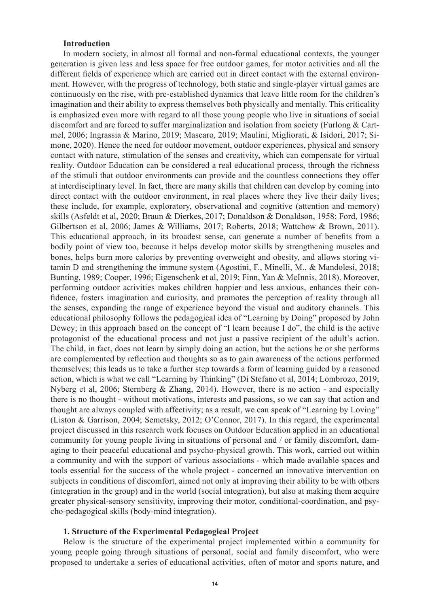#### **Introduction**

In modern society, in almost all formal and non-formal educational contexts, the younger generation is given less and less space for free outdoor games, for motor activities and all the different fields of experience which are carried out in direct contact with the external environment. However, with the progress of technology, both static and single-player virtual games are continuously on the rise, with pre-established dynamics that leave little room for the children's imagination and their ability to express themselves both physically and mentally. This criticality is emphasized even more with regard to all those young people who live in situations of social discomfort and are forced to suffer marginalization and isolation from society (Furlong & Cartmel, 2006; Ingrassia & Marino, 2019; Mascaro, 2019; Maulini, Migliorati, & Isidori, 2017; Simone, 2020). Hence the need for outdoor movement, outdoor experiences, physical and sensory contact with nature, stimulation of the senses and creativity, which can compensate for virtual reality. Outdoor Education can be considered a real educational process, through the richness of the stimuli that outdoor environments can provide and the countless connections they offer at interdisciplinary level. In fact, there are many skills that children can develop by coming into direct contact with the outdoor environment, in real places where they live their daily lives; these include, for example, exploratory, observational and cognitive (attention and memory) skills (Asfeldt et al, 2020; Braun & Dierkes, 2017; Donaldson & Donaldson, 1958; Ford, 1986; Gilbertson et al, 2006; James & Williams, 2017; Roberts, 2018; Wattchow & Brown, 2011). This educational approach, in its broadest sense, can generate a number of benefits from a bodily point of view too, because it helps develop motor skills by strengthening muscles and bones, helps burn more calories by preventing overweight and obesity, and allows storing vitamin D and strengthening the immune system (Agostini, F., Minelli, M., & Mandolesi, 2018; Bunting, 1989; Cooper, 1996; Eigenschenk et al, 2019; Finn, Yan & McInnis, 2018). Moreover, performing outdoor activities makes children happier and less anxious, enhances their confidence, fosters imagination and curiosity, and promotes the perception of reality through all the senses, expanding the range of experience beyond the visual and auditory channels. This educational philosophy follows the pedagogical idea of "Learning by Doing" proposed by John Dewey; in this approach based on the concept of "I learn because I do", the child is the active protagonist of the educational process and not just a passive recipient of the adult's action. The child, in fact, does not learn by simply doing an action, but the actions he or she performs are complemented by reflection and thoughts so as to gain awareness of the actions performed themselves; this leads us to take a further step towards a form of learning guided by a reasoned action, which is what we call "Learning by Thinking" (Di Stefano et al, 2014; Lombrozo, 2019; Nyberg et al, 2006; Sternberg & Zhang, 2014). However, there is no action - and especially there is no thought - without motivations, interests and passions, so we can say that action and thought are always coupled with affectivity; as a result, we can speak of "Learning by Loving" (Liston & Garrison, 2004; Semetsky, 2012; O'Connor, 2017). In this regard, the experimental project discussed in this research work focuses on Outdoor Education applied in an educational community for young people living in situations of personal and / or family discomfort, damaging to their peaceful educational and psycho-physical growth. This work, carried out within a community and with the support of various associations - which made available spaces and tools essential for the success of the whole project - concerned an innovative intervention on subjects in conditions of discomfort, aimed not only at improving their ability to be with others (integration in the group) and in the world (social integration), but also at making them acquire greater physical-sensory sensitivity, improving their motor, conditional-coordination, and psycho-pedagogical skills (body-mind integration).

#### **1. Structure of the Experimental Pedagogical Project**

Below is the structure of the experimental project implemented within a community for young people going through situations of personal, social and family discomfort, who were proposed to undertake a series of educational activities, often of motor and sports nature, and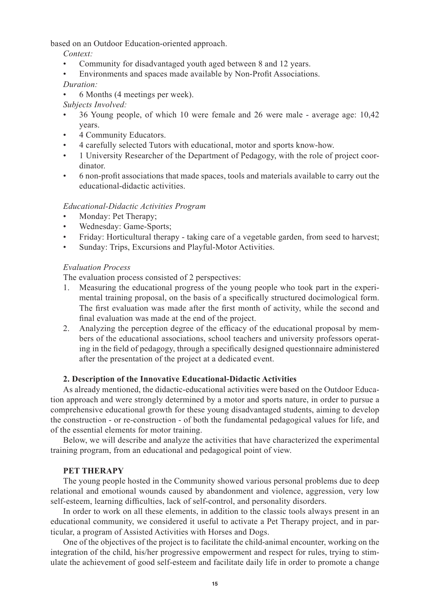based on an Outdoor Education-oriented approach.

*Context:* 

- Community for disadvantaged youth aged between 8 and 12 years.
- Environments and spaces made available by Non-Profit Associations.

*Duration:* 

• 6 Months (4 meetings per week).

*Subjects Involved:* 

- 36 Young people, of which 10 were female and 26 were male average age: 10,42 years.
- 4 Community Educators.
- 4 carefully selected Tutors with educational, motor and sports know-how.
- 1 University Researcher of the Department of Pedagogy, with the role of project coordinator.
- 6 non-profit associations that made spaces, tools and materials available to carry out the educational-didactic activities.

### *Educational-Didactic Activities Program*

- Monday: Pet Therapy;
- Wednesday: Game-Sports;
- Friday: Horticultural therapy taking care of a vegetable garden, from seed to harvest;
- Sunday: Trips, Excursions and Playful-Motor Activities.

### *Evaluation Process*

The evaluation process consisted of 2 perspectives:

- 1. Measuring the educational progress of the young people who took part in the experimental training proposal, on the basis of a specifically structured docimological form. The first evaluation was made after the first month of activity, while the second and final evaluation was made at the end of the project.
- 2. Analyzing the perception degree of the efficacy of the educational proposal by members of the educational associations, school teachers and university professors operating in the field of pedagogy, through a specifically designed questionnaire administered after the presentation of the project at a dedicated event.

#### **2. Description of the Innovative Educational-Didactic Activities**

As already mentioned, the didactic-educational activities were based on the Outdoor Education approach and were strongly determined by a motor and sports nature, in order to pursue a comprehensive educational growth for these young disadvantaged students, aiming to develop the construction - or re-construction - of both the fundamental pedagogical values for life, and of the essential elements for motor training.

Below, we will describe and analyze the activities that have characterized the experimental training program, from an educational and pedagogical point of view.

#### **PET THERAPY**

The young people hosted in the Community showed various personal problems due to deep relational and emotional wounds caused by abandonment and violence, aggression, very low self-esteem, learning difficulties, lack of self-control, and personality disorders.

In order to work on all these elements, in addition to the classic tools always present in an educational community, we considered it useful to activate a Pet Therapy project, and in particular, a program of Assisted Activities with Horses and Dogs.

One of the objectives of the project is to facilitate the child-animal encounter, working on the integration of the child, his/her progressive empowerment and respect for rules, trying to stimulate the achievement of good self-esteem and facilitate daily life in order to promote a change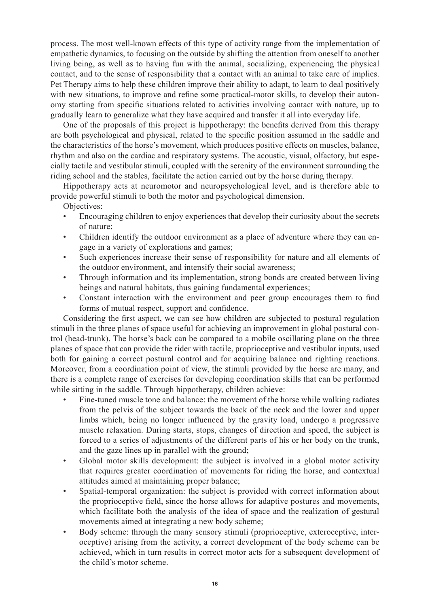process. The most well-known effects of this type of activity range from the implementation of empathetic dynamics, to focusing on the outside by shifting the attention from oneself to another living being, as well as to having fun with the animal, socializing, experiencing the physical contact, and to the sense of responsibility that a contact with an animal to take care of implies. Pet Therapy aims to help these children improve their ability to adapt, to learn to deal positively with new situations, to improve and refine some practical-motor skills, to develop their autonomy starting from specific situations related to activities involving contact with nature, up to gradually learn to generalize what they have acquired and transfer it all into everyday life.

One of the proposals of this project is hippotherapy: the benefits derived from this therapy are both psychological and physical, related to the specific position assumed in the saddle and the characteristics of the horse's movement, which produces positive effects on muscles, balance, rhythm and also on the cardiac and respiratory systems. The acoustic, visual, olfactory, but especially tactile and vestibular stimuli, coupled with the serenity of the environment surrounding the riding school and the stables, facilitate the action carried out by the horse during therapy.

Hippotherapy acts at neuromotor and neuropsychological level, and is therefore able to provide powerful stimuli to both the motor and psychological dimension.

Objectives:

- Encouraging children to enjoy experiences that develop their curiosity about the secrets of nature;
- Children identify the outdoor environment as a place of adventure where they can engage in a variety of explorations and games;
- Such experiences increase their sense of responsibility for nature and all elements of the outdoor environment, and intensify their social awareness;
- Through information and its implementation, strong bonds are created between living beings and natural habitats, thus gaining fundamental experiences;
- Constant interaction with the environment and peer group encourages them to find forms of mutual respect, support and confidence.

Considering the first aspect, we can see how children are subjected to postural regulation stimuli in the three planes of space useful for achieving an improvement in global postural control (head-trunk). The horse's back can be compared to a mobile oscillating plane on the three planes of space that can provide the rider with tactile, proprioceptive and vestibular inputs, used both for gaining a correct postural control and for acquiring balance and righting reactions. Moreover, from a coordination point of view, the stimuli provided by the horse are many, and there is a complete range of exercises for developing coordination skills that can be performed while sitting in the saddle. Through hippotherapy, children achieve:

- Fine-tuned muscle tone and balance: the movement of the horse while walking radiates from the pelvis of the subject towards the back of the neck and the lower and upper limbs which, being no longer influenced by the gravity load, undergo a progressive muscle relaxation. During starts, stops, changes of direction and speed, the subject is forced to a series of adjustments of the different parts of his or her body on the trunk, and the gaze lines up in parallel with the ground;
- Global motor skills development: the subject is involved in a global motor activity that requires greater coordination of movements for riding the horse, and contextual attitudes aimed at maintaining proper balance;
- Spatial-temporal organization: the subject is provided with correct information about the proprioceptive field, since the horse allows for adaptive postures and movements, which facilitate both the analysis of the idea of space and the realization of gestural movements aimed at integrating a new body scheme;
- Body scheme: through the many sensory stimuli (proprioceptive, exteroceptive, interoceptive) arising from the activity, a correct development of the body scheme can be achieved, which in turn results in correct motor acts for a subsequent development of the child's motor scheme.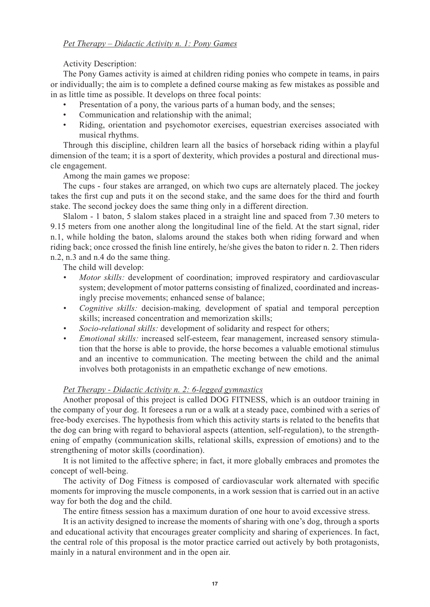#### *Pet Therapy – Didactic Activity n. 1: Pony Games*

Activity Description:

The Pony Games activity is aimed at children riding ponies who compete in teams, in pairs or individually; the aim is to complete a defined course making as few mistakes as possible and in as little time as possible. It develops on three focal points:

- Presentation of a pony, the various parts of a human body, and the senses;
- Communication and relationship with the animal;
- Riding, orientation and psychomotor exercises, equestrian exercises associated with musical rhythms.

Through this discipline, children learn all the basics of horseback riding within a playful dimension of the team; it is a sport of dexterity, which provides a postural and directional muscle engagement.

Among the main games we propose:

The cups - four stakes are arranged, on which two cups are alternately placed. The jockey takes the first cup and puts it on the second stake, and the same does for the third and fourth stake. The second jockey does the same thing only in a different direction.

Slalom - 1 baton, 5 slalom stakes placed in a straight line and spaced from 7.30 meters to 9.15 meters from one another along the longitudinal line of the field. At the start signal, rider n.1, while holding the baton, slaloms around the stakes both when riding forward and when riding back; once crossed the finish line entirely, he/she gives the baton to rider n. 2. Then riders n.2, n.3 and n.4 do the same thing.

The child will develop:

- *Motor skills:* development of coordination; improved respiratory and cardiovascular system; development of motor patterns consisting of finalized, coordinated and increasingly precise movements; enhanced sense of balance;
- *Cognitive skills:* decision-making, development of spatial and temporal perception skills; increased concentration and memorization skills;
- *Socio-relational skills:* development of solidarity and respect for others;
- *Emotional skills:* increased self-esteem, fear management, increased sensory stimulation that the horse is able to provide, the horse becomes a valuable emotional stimulus and an incentive to communication. The meeting between the child and the animal involves both protagonists in an empathetic exchange of new emotions.

### *Pet Therapy - Didactic Activity n. 2: 6-legged gymnastics*

Another proposal of this project is called DOG FITNESS, which is an outdoor training in the company of your dog. It foresees a run or a walk at a steady pace, combined with a series of free-body exercises. The hypothesis from which this activity starts is related to the benefits that the dog can bring with regard to behavioral aspects (attention, self-regulation), to the strengthening of empathy (communication skills, relational skills, expression of emotions) and to the strengthening of motor skills (coordination).

It is not limited to the affective sphere; in fact, it more globally embraces and promotes the concept of well-being.

The activity of Dog Fitness is composed of cardiovascular work alternated with specific moments for improving the muscle components, in a work session that is carried out in an active way for both the dog and the child.

The entire fitness session has a maximum duration of one hour to avoid excessive stress.

It is an activity designed to increase the moments of sharing with one's dog, through a sports and educational activity that encourages greater complicity and sharing of experiences. In fact, the central role of this proposal is the motor practice carried out actively by both protagonists, mainly in a natural environment and in the open air.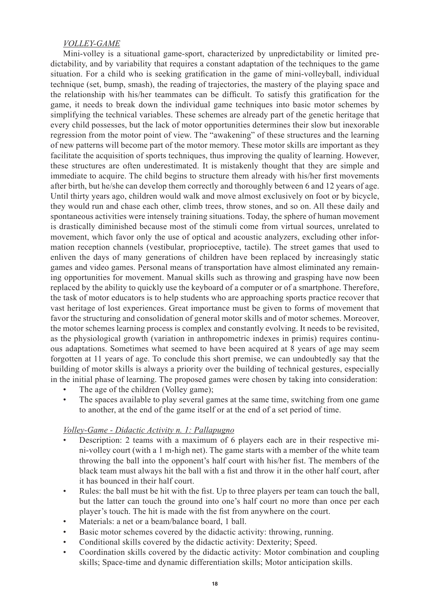#### *VOLLEY-GAME*

Mini-volley is a situational game-sport, characterized by unpredictability or limited predictability, and by variability that requires a constant adaptation of the techniques to the game situation. For a child who is seeking gratification in the game of mini-volleyball, individual technique (set, bump, smash), the reading of trajectories, the mastery of the playing space and the relationship with his/her teammates can be difficult. To satisfy this gratification for the game, it needs to break down the individual game techniques into basic motor schemes by simplifying the technical variables. These schemes are already part of the genetic heritage that every child possesses, but the lack of motor opportunities determines their slow but inexorable regression from the motor point of view. The "awakening" of these structures and the learning of new patterns will become part of the motor memory. These motor skills are important as they facilitate the acquisition of sports techniques, thus improving the quality of learning. However, these structures are often underestimated. It is mistakenly thought that they are simple and immediate to acquire. The child begins to structure them already with his/her first movements after birth, but he/she can develop them correctly and thoroughly between 6 and 12 years of age. Until thirty years ago, children would walk and move almost exclusively on foot or by bicycle, they would run and chase each other, climb trees, throw stones, and so on. All these daily and spontaneous activities were intensely training situations. Today, the sphere of human movement is drastically diminished because most of the stimuli come from virtual sources, unrelated to movement, which favor only the use of optical and acoustic analyzers, excluding other information reception channels (vestibular, proprioceptive, tactile). The street games that used to enliven the days of many generations of children have been replaced by increasingly static games and video games. Personal means of transportation have almost eliminated any remaining opportunities for movement. Manual skills such as throwing and grasping have now been replaced by the ability to quickly use the keyboard of a computer or of a smartphone. Therefore, the task of motor educators is to help students who are approaching sports practice recover that vast heritage of lost experiences. Great importance must be given to forms of movement that favor the structuring and consolidation of general motor skills and of motor schemes. Moreover, the motor schemes learning process is complex and constantly evolving. It needs to be revisited, as the physiological growth (variation in anthropometric indexes in primis) requires continuous adaptations. Sometimes what seemed to have been acquired at 8 years of age may seem forgotten at 11 years of age. To conclude this short premise, we can undoubtedly say that the building of motor skills is always a priority over the building of technical gestures, especially in the initial phase of learning. The proposed games were chosen by taking into consideration:

- The age of the children (Volley game);
- The spaces available to play several games at the same time, switching from one game to another, at the end of the game itself or at the end of a set period of time.

### *Volley-Game - Didactic Activity n. 1: Pallapugno*

- Description: 2 teams with a maximum of 6 players each are in their respective mini-volley court (with a 1 m-high net). The game starts with a member of the white team throwing the ball into the opponent's half court with his/her fist. The members of the black team must always hit the ball with a fist and throw it in the other half court, after it has bounced in their half court.
- Rules: the ball must be hit with the fist. Up to three players per team can touch the ball, but the latter can touch the ground into one's half court no more than once per each player's touch. The hit is made with the fist from anywhere on the court.
- Materials: a net or a beam/balance board, 1 ball.
- Basic motor schemes covered by the didactic activity: throwing, running.
- Conditional skills covered by the didactic activity: Dexterity; Speed.
- Coordination skills covered by the didactic activity: Motor combination and coupling skills; Space-time and dynamic differentiation skills; Motor anticipation skills.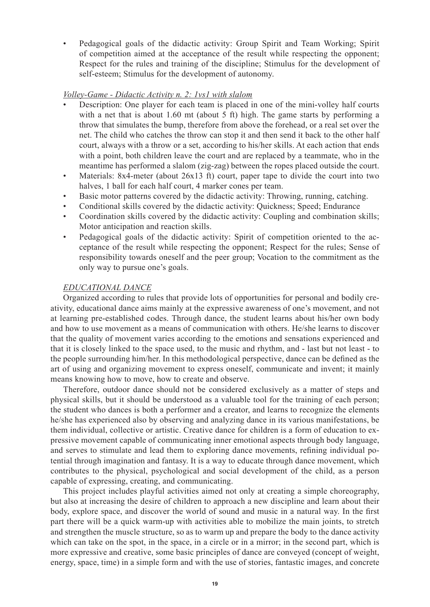• Pedagogical goals of the didactic activity: Group Spirit and Team Working; Spirit of competition aimed at the acceptance of the result while respecting the opponent; Respect for the rules and training of the discipline; Stimulus for the development of self-esteem; Stimulus for the development of autonomy.

#### *Volley-Game - Didactic Activity n. 2: 1vs1 with slalom*

- Description: One player for each team is placed in one of the mini-volley half courts with a net that is about 1.60 mt (about 5 ft) high. The game starts by performing a throw that simulates the bump, therefore from above the forehead, or a real set over the net. The child who catches the throw can stop it and then send it back to the other half court, always with a throw or a set, according to his/her skills. At each action that ends with a point, both children leave the court and are replaced by a teammate, who in the meantime has performed a slalom (zig-zag) between the ropes placed outside the court.
- Materials: 8x4-meter (about 26x13 ft) court, paper tape to divide the court into two halves, 1 ball for each half court, 4 marker cones per team.
- Basic motor patterns covered by the didactic activity: Throwing, running, catching.
- Conditional skills covered by the didactic activity: Quickness; Speed; Endurance
- Coordination skills covered by the didactic activity: Coupling and combination skills; Motor anticipation and reaction skills.
- Pedagogical goals of the didactic activity: Spirit of competition oriented to the acceptance of the result while respecting the opponent; Respect for the rules; Sense of responsibility towards oneself and the peer group; Vocation to the commitment as the only way to pursue one's goals.

#### *EDUCATIONAL DANCE*

Organized according to rules that provide lots of opportunities for personal and bodily creativity, educational dance aims mainly at the expressive awareness of one's movement, and not at learning pre-established codes. Through dance, the student learns about his/her own body and how to use movement as a means of communication with others. He/she learns to discover that the quality of movement varies according to the emotions and sensations experienced and that it is closely linked to the space used, to the music and rhythm, and - last but not least - to the people surrounding him/her. In this methodological perspective, dance can be defined as the art of using and organizing movement to express oneself, communicate and invent; it mainly means knowing how to move, how to create and observe.

Therefore, outdoor dance should not be considered exclusively as a matter of steps and physical skills, but it should be understood as a valuable tool for the training of each person; the student who dances is both a performer and a creator, and learns to recognize the elements he/she has experienced also by observing and analyzing dance in its various manifestations, be them individual, collective or artistic. Creative dance for children is a form of education to expressive movement capable of communicating inner emotional aspects through body language, and serves to stimulate and lead them to exploring dance movements, refining individual potential through imagination and fantasy. It is a way to educate through dance movement, which contributes to the physical, psychological and social development of the child, as a person capable of expressing, creating, and communicating.

This project includes playful activities aimed not only at creating a simple choreography, but also at increasing the desire of children to approach a new discipline and learn about their body, explore space, and discover the world of sound and music in a natural way. In the first part there will be a quick warm-up with activities able to mobilize the main joints, to stretch and strengthen the muscle structure, so as to warm up and prepare the body to the dance activity which can take on the spot, in the space, in a circle or in a mirror; in the second part, which is more expressive and creative, some basic principles of dance are conveyed (concept of weight, energy, space, time) in a simple form and with the use of stories, fantastic images, and concrete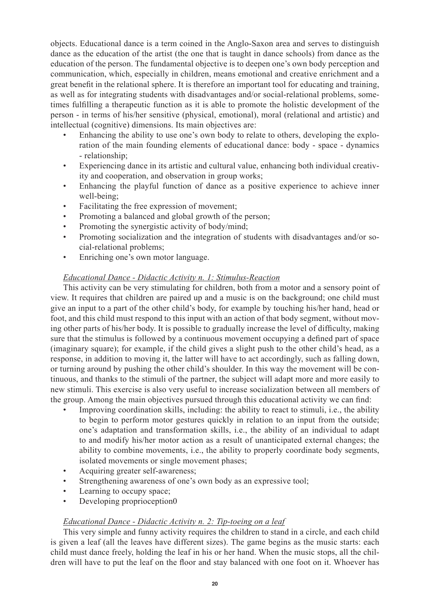objects. Educational dance is a term coined in the Anglo-Saxon area and serves to distinguish dance as the education of the artist (the one that is taught in dance schools) from dance as the education of the person. The fundamental objective is to deepen one's own body perception and communication, which, especially in children, means emotional and creative enrichment and a great benefit in the relational sphere. It is therefore an important tool for educating and training, as well as for integrating students with disadvantages and/or social-relational problems, sometimes fulfilling a therapeutic function as it is able to promote the holistic development of the person - in terms of his/her sensitive (physical, emotional), moral (relational and artistic) and intellectual (cognitive) dimensions. Its main objectives are:

- Enhancing the ability to use one's own body to relate to others, developing the exploration of the main founding elements of educational dance: body - space - dynamics - relationship;
- Experiencing dance in its artistic and cultural value, enhancing both individual creativity and cooperation, and observation in group works;
- Enhancing the playful function of dance as a positive experience to achieve inner well-being;
- Facilitating the free expression of movement;
- Promoting a balanced and global growth of the person;
- Promoting the synergistic activity of body/mind;
- Promoting socialization and the integration of students with disadvantages and/or social-relational problems;
- Enriching one's own motor language.

### *Educational Dance - Didactic Activity n. 1: Stimulus-Reaction*

This activity can be very stimulating for children, both from a motor and a sensory point of view. It requires that children are paired up and a music is on the background; one child must give an input to a part of the other child's body, for example by touching his/her hand, head or foot, and this child must respond to this input with an action of that body segment, without moving other parts of his/her body. It is possible to gradually increase the level of difficulty, making sure that the stimulus is followed by a continuous movement occupying a defined part of space (imaginary square); for example, if the child gives a slight push to the other child's head, as a response, in addition to moving it, the latter will have to act accordingly, such as falling down, or turning around by pushing the other child's shoulder. In this way the movement will be continuous, and thanks to the stimuli of the partner, the subject will adapt more and more easily to new stimuli. This exercise is also very useful to increase socialization between all members of the group. Among the main objectives pursued through this educational activity we can find:

- Improving coordination skills, including: the ability to react to stimuli, i.e., the ability to begin to perform motor gestures quickly in relation to an input from the outside; one's adaptation and transformation skills, i.e., the ability of an individual to adapt to and modify his/her motor action as a result of unanticipated external changes; the ability to combine movements, i.e., the ability to properly coordinate body segments, isolated movements or single movement phases;
- Acquiring greater self-awareness;
- Strengthening awareness of one's own body as an expressive tool;
- Learning to occupy space;
- Developing proprioception0

### *Educational Dance - Didactic Activity n. 2: Tip-toeing on a leaf*

This very simple and funny activity requires the children to stand in a circle, and each child is given a leaf (all the leaves have different sizes). The game begins as the music starts: each child must dance freely, holding the leaf in his or her hand. When the music stops, all the children will have to put the leaf on the floor and stay balanced with one foot on it. Whoever has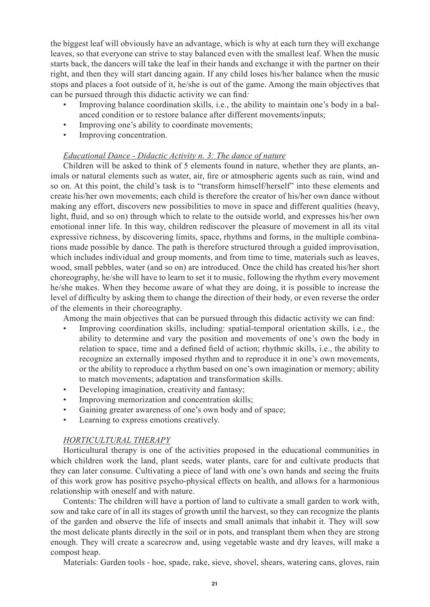the biggest leaf will obviously have an advantage, which is why at each turn they will exchange leaves, so that everyone can strive to stay balanced even with the smallest leaf. When the music starts back, the dancers will take the leaf in their hands and exchange it with the partner on their right, and then they will start dancing again. If any child loses his/her balance when the music stops and places a foot outside of it, he/she is out of the game. Among the main objectives that can be pursued through this didactic activity we can find*:*

- Improving balance coordination skills, i.e., the ability to maintain one's body in a balanced condition or to restore balance after different movements/inputs;
- Improving one's ability to coordinate movements;
- Improving concentration.

### *Educational Dance - Didactic Activity n. 3: The dance of nature*

Children will be asked to think of 5 elements found in nature, whether they are plants, animals or natural elements such as water, air, fire or atmospheric agents such as rain, wind and so on. At this point, the child's task is to "transform himself/herself" into these elements and create his/her own movements; each child is therefore the creator of his/her own dance without making any effort, discovers new possibilities to move in space and different qualities (heavy, light, fluid, and so on) through which to relate to the outside world, and expresses his/her own emotional inner life. In this way, children rediscover the pleasure of movement in all its vital expressive richness, by discovering limits, space, rhythms and forms, in the multiple combinations made possible by dance. The path is therefore structured through a guided improvisation, which includes individual and group moments, and from time to time, materials such as leaves, wood, small pebbles, water (and so on) are introduced. Once the child has created his/her short choreography, he/she will have to learn to set it to music, following the rhythm every movement he/she makes. When they become aware of what they are doing, it is possible to increase the level of difficulty by asking them to change the direction of their body, or even reverse the order of the elements in their choreography.

Among the main objectives that can be pursued through this didactic activity we can find:

- Improving coordination skills, including: spatial-temporal orientation skills, i.e., the ability to determine and vary the position and movements of one's own the body in relation to space, time and a defined field of action; rhythmic skills, i.e., the ability to recognize an externally imposed rhythm and to reproduce it in one's own movements, or the ability to reproduce a rhythm based on one's own imagination or memory; ability to match movements; adaptation and transformation skills.
- Developing imagination, creativity and fantasy;
- Improving memorization and concentration skills;
- Gaining greater awareness of one's own body and of space;
- Learning to express emotions creatively.

### *HORTICULTURAL THERAPY*

Horticultural therapy is one of the activities proposed in the educational communities in which children work the land, plant seeds, water plants, care for and cultivate products that they can later consume. Cultivating a piece of land with one's own hands and seeing the fruits of this work grow has positive psycho-physical effects on health, and allows for a harmonious relationship with oneself and with nature.

Contents: The children will have a portion of land to cultivate a small garden to work with, sow and take care of in all its stages of growth until the harvest, so they can recognize the plants of the garden and observe the life of insects and small animals that inhabit it. They will sow the most delicate plants directly in the soil or in pots, and transplant them when they are strong enough. They will create a scarecrow and, using vegetable waste and dry leaves, will make a compost heap.

Materials: Garden tools - hoe, spade, rake, sieve, shovel, shears, watering cans, gloves, rain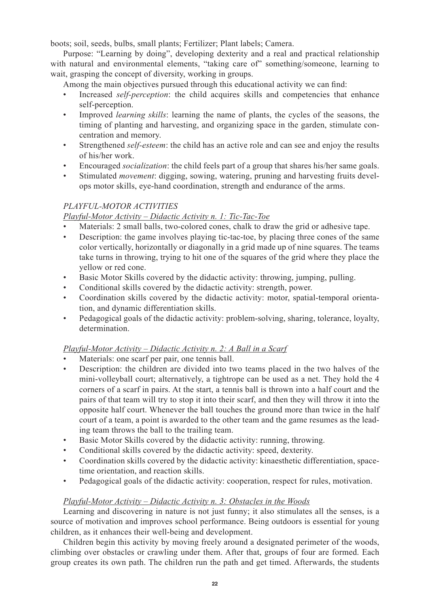boots; soil, seeds, bulbs, small plants; Fertilizer; Plant labels; Camera.

Purpose: "Learning by doing", developing dexterity and a real and practical relationship with natural and environmental elements, "taking care of" something/someone, learning to wait, grasping the concept of diversity, working in groups.

Among the main objectives pursued through this educational activity we can find:

- Increased *self-perception*: the child acquires skills and competencies that enhance self-perception.
- Improved *learning skills*: learning the name of plants, the cycles of the seasons, the timing of planting and harvesting, and organizing space in the garden, stimulate concentration and memory.
- Strengthened *self-esteem*: the child has an active role and can see and enjoy the results of his/her work.
- Encouraged *socialization*: the child feels part of a group that shares his/her same goals.
- Stimulated *movement*: digging, sowing, watering, pruning and harvesting fruits develops motor skills, eye-hand coordination, strength and endurance of the arms.

## *PLAYFUL-MOTOR ACTIVITIES*

## *Playful-Motor Activity – Didactic Activity n. 1: Tic-Tac-Toe*

- Materials: 2 small balls, two-colored cones, chalk to draw the grid or adhesive tape.
- Description: the game involves playing tic-tac-toe, by placing three cones of the same color vertically, horizontally or diagonally in a grid made up of nine squares. The teams take turns in throwing, trying to hit one of the squares of the grid where they place the yellow or red cone.
- Basic Motor Skills covered by the didactic activity: throwing, jumping, pulling.
- Conditional skills covered by the didactic activity: strength, power.
- Coordination skills covered by the didactic activity: motor, spatial-temporal orientation, and dynamic differentiation skills.
- Pedagogical goals of the didactic activity: problem-solving, sharing, tolerance, loyalty, determination.

### *Playful-Motor Activity – Didactic Activity n. 2: A Ball in a Scarf*

- Materials: one scarf per pair, one tennis ball.
- Description: the children are divided into two teams placed in the two halves of the mini-volleyball court; alternatively, a tightrope can be used as a net. They hold the 4 corners of a scarf in pairs. At the start, a tennis ball is thrown into a half court and the pairs of that team will try to stop it into their scarf, and then they will throw it into the opposite half court. Whenever the ball touches the ground more than twice in the half court of a team, a point is awarded to the other team and the game resumes as the leading team throws the ball to the trailing team.
- Basic Motor Skills covered by the didactic activity: running, throwing.
- Conditional skills covered by the didactic activity: speed, dexterity.
- Coordination skills covered by the didactic activity: kinaesthetic differentiation, spacetime orientation, and reaction skills.
- Pedagogical goals of the didactic activity: cooperation, respect for rules, motivation.

### *Playful-Motor Activity – Didactic Activity n. 3: Obstacles in the Woods*

Learning and discovering in nature is not just funny; it also stimulates all the senses, is a source of motivation and improves school performance. Being outdoors is essential for young children, as it enhances their well-being and development.

Children begin this activity by moving freely around a designated perimeter of the woods, climbing over obstacles or crawling under them. After that, groups of four are formed. Each group creates its own path. The children run the path and get timed. Afterwards, the students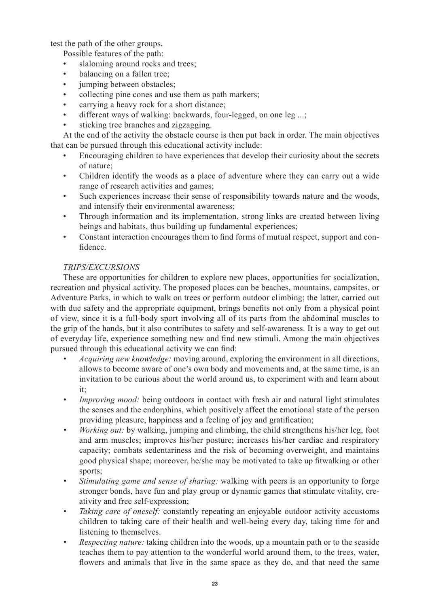test the path of the other groups.

Possible features of the path:

- slaloming around rocks and trees;
- balancing on a fallen tree;
- jumping between obstacles;
- collecting pine cones and use them as path markers;
- carrying a heavy rock for a short distance;
- different ways of walking: backwards, four-legged, on one leg ...;
- sticking tree branches and zigzagging.

At the end of the activity the obstacle course is then put back in order. The main objectives that can be pursued through this educational activity include:

- Encouraging children to have experiences that develop their curiosity about the secrets of nature;
- Children identify the woods as a place of adventure where they can carry out a wide range of research activities and games;
- Such experiences increase their sense of responsibility towards nature and the woods, and intensify their environmental awareness;
- Through information and its implementation, strong links are created between living beings and habitats, thus building up fundamental experiences;
- Constant interaction encourages them to find forms of mutual respect, support and confidence.

### *TRIPS/EXCURSIONS*

These are opportunities for children to explore new places, opportunities for socialization, recreation and physical activity. The proposed places can be beaches, mountains, campsites, or Adventure Parks, in which to walk on trees or perform outdoor climbing; the latter, carried out with due safety and the appropriate equipment, brings benefits not only from a physical point of view, since it is a full-body sport involving all of its parts from the abdominal muscles to the grip of the hands, but it also contributes to safety and self-awareness. It is a way to get out of everyday life, experience something new and find new stimuli. Among the main objectives pursued through this educational activity we can find:

- *Acquiring new knowledge:* moving around, exploring the environment in all directions, allows to become aware of one's own body and movements and, at the same time, is an invitation to be curious about the world around us, to experiment with and learn about it;
- *• Improving mood:* being outdoors in contact with fresh air and natural light stimulates the senses and the endorphins, which positively affect the emotional state of the person providing pleasure, happiness and a feeling of joy and gratification;
- *• Working out:* by walking, jumping and climbing, the child strengthens his/her leg, foot and arm muscles; improves his/her posture; increases his/her cardiac and respiratory capacity; combats sedentariness and the risk of becoming overweight, and maintains good physical shape; moreover, he/she may be motivated to take up fitwalking or other sports;
- *• Stimulating game and sense of sharing:* walking with peers is an opportunity to forge stronger bonds, have fun and play group or dynamic games that stimulate vitality, creativity and free self-expression;
- *• Taking care of oneself:* constantly repeating an enjoyable outdoor activity accustoms children to taking care of their health and well-being every day, taking time for and listening to themselves.
- *• Respecting nature:* taking children into the woods, up a mountain path or to the seaside teaches them to pay attention to the wonderful world around them, to the trees, water, flowers and animals that live in the same space as they do, and that need the same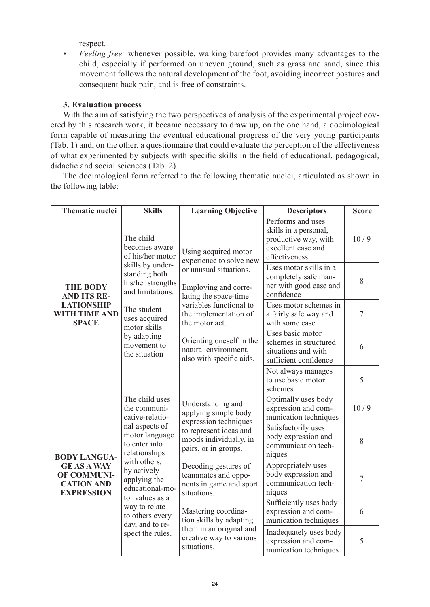respect.

*• Feeling free:* whenever possible, walking barefoot provides many advantages to the child, especially if performed on uneven ground, such as grass and sand, since this movement follows the natural development of the foot, avoiding incorrect postures and consequent back pain, and is free of constraints.

### **3. Evaluation process**

With the aim of satisfying the two perspectives of analysis of the experimental project covered by this research work, it became necessary to draw up, on the one hand, a docimological form capable of measuring the eventual educational progress of the very young participants (Tab. 1) and, on the other, a questionnaire that could evaluate the perception of the effectiveness of what experimented by subjects with specific skills in the field of educational, pedagogical, didactic and social sciences (Tab. 2).

The docimological form referred to the following thematic nuclei, articulated as shown in the following table:

| <b>Thematic nuclei</b>                                                                                    | <b>Skills</b>                                                                                                                                                                                                                                                                           | <b>Learning Objective</b>                                                                                                                                                                                                                                                        | <b>Descriptors</b>                                                                                        | <b>Score</b> |
|-----------------------------------------------------------------------------------------------------------|-----------------------------------------------------------------------------------------------------------------------------------------------------------------------------------------------------------------------------------------------------------------------------------------|----------------------------------------------------------------------------------------------------------------------------------------------------------------------------------------------------------------------------------------------------------------------------------|-----------------------------------------------------------------------------------------------------------|--------------|
|                                                                                                           | The child<br>becomes aware<br>of his/her motor                                                                                                                                                                                                                                          | Using acquired motor<br>experience to solve new<br>or unusual situations.<br>Employing and corre-<br>lating the space-time<br>variables functional to<br>the implementation of<br>the motor act.<br>Orienting oneself in the<br>natural environment,<br>also with specific aids. | Performs and uses<br>skills in a personal,<br>productive way, with<br>excellent ease and<br>effectiveness | 10/9         |
| <b>THE BODY</b><br><b>AND ITS RE-</b><br><b>LATIONSHIP</b><br><b>WITH TIME AND</b><br><b>SPACE</b>        | skills by under-<br>standing both<br>his/her strengths<br>and limitations.                                                                                                                                                                                                              |                                                                                                                                                                                                                                                                                  | Uses motor skills in a<br>completely safe man-<br>ner with good ease and<br>confidence                    | 8            |
|                                                                                                           | The student<br>uses acquired<br>motor skills<br>by adapting<br>movement to<br>the situation                                                                                                                                                                                             |                                                                                                                                                                                                                                                                                  | Uses motor schemes in<br>a fairly safe way and<br>with some ease                                          | 7            |
|                                                                                                           |                                                                                                                                                                                                                                                                                         |                                                                                                                                                                                                                                                                                  | Uses basic motor<br>schemes in structured<br>situations and with<br>sufficient confidence                 | 6            |
|                                                                                                           |                                                                                                                                                                                                                                                                                         |                                                                                                                                                                                                                                                                                  | Not always manages<br>to use basic motor<br>schemes                                                       | 5            |
| <b>BODY LANGUA-</b><br><b>GE AS A WAY</b><br><b>OF COMMUNI-</b><br><b>CATION AND</b><br><b>EXPRESSION</b> | The child uses<br>the communi-<br>cative-relatio-<br>nal aspects of<br>motor language<br>to enter into<br>relationships<br>with others,<br>by actively<br>applying the<br>educational-mo-<br>tor values as a<br>way to relate<br>to others every<br>day, and to re-<br>spect the rules. | Understanding and<br>applying simple body<br>expression techniques<br>to represent ideas and<br>moods individually, in<br>pairs, or in groups.                                                                                                                                   | Optimally uses body<br>expression and com-<br>munication techniques                                       | 10/9         |
|                                                                                                           |                                                                                                                                                                                                                                                                                         |                                                                                                                                                                                                                                                                                  | Satisfactorily uses<br>body expression and<br>communication tech-<br>niques                               | 8            |
|                                                                                                           |                                                                                                                                                                                                                                                                                         | Decoding gestures of<br>teammates and oppo-<br>nents in game and sport<br>situations.                                                                                                                                                                                            | Appropriately uses<br>body expression and<br>communication tech-<br>niques                                | 7            |
|                                                                                                           |                                                                                                                                                                                                                                                                                         | Mastering coordina-<br>tion skills by adapting<br>them in an original and<br>creative way to various<br>situations.                                                                                                                                                              | Sufficiently uses body<br>expression and com-<br>munication techniques                                    | 6            |
|                                                                                                           |                                                                                                                                                                                                                                                                                         |                                                                                                                                                                                                                                                                                  | Inadequately uses body<br>expression and com-<br>munication techniques                                    | 5            |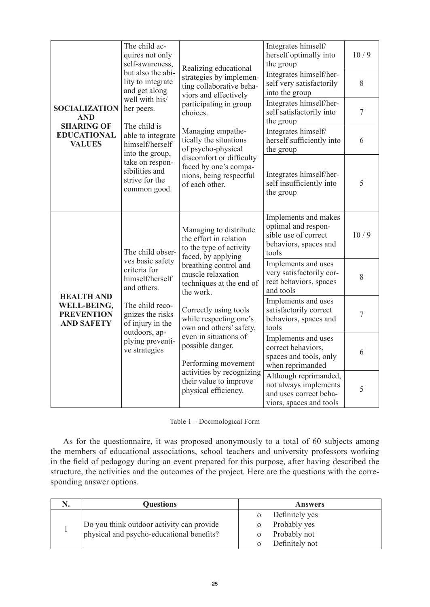|                                                                                                | The child ac-<br>quires not only<br>self-awareness.<br>but also the abi-<br>lity to integrate<br>and get along<br>well with his/<br>her peers.<br>The child is<br>able to integrate<br>himself/herself<br>into the group,<br>take on respon-<br>sibilities and<br>strive for the<br>common good. | Realizing educational                                                                                                                                                                                                                                                                                                                                                                                                     | Integrates himself/<br>herself optimally into<br>the group                                            | 10/9           |
|------------------------------------------------------------------------------------------------|--------------------------------------------------------------------------------------------------------------------------------------------------------------------------------------------------------------------------------------------------------------------------------------------------|---------------------------------------------------------------------------------------------------------------------------------------------------------------------------------------------------------------------------------------------------------------------------------------------------------------------------------------------------------------------------------------------------------------------------|-------------------------------------------------------------------------------------------------------|----------------|
| <b>SOCIALIZATION</b><br><b>AND</b><br><b>SHARING OF</b><br><b>EDUCATIONAL</b><br><b>VALUES</b> |                                                                                                                                                                                                                                                                                                  | strategies by implemen-<br>ting collaborative beha-<br>viors and effectively<br>participating in group<br>choices.<br>Managing empathe-<br>tically the situations<br>of psycho-physical                                                                                                                                                                                                                                   | Integrates himself/her-<br>self very satisfactorily<br>into the group                                 | 8              |
|                                                                                                |                                                                                                                                                                                                                                                                                                  |                                                                                                                                                                                                                                                                                                                                                                                                                           | Integrates himself/her-<br>self satisfactorily into<br>the group                                      | $\overline{7}$ |
|                                                                                                |                                                                                                                                                                                                                                                                                                  |                                                                                                                                                                                                                                                                                                                                                                                                                           | Integrates himself/<br>herself sufficiently into<br>the group                                         | 6              |
|                                                                                                |                                                                                                                                                                                                                                                                                                  | discomfort or difficulty<br>faced by one's compa-<br>nions, being respectful<br>of each other.                                                                                                                                                                                                                                                                                                                            | Integrates himself/her-<br>self insufficiently into<br>the group                                      | 5              |
| <b>HEALTH AND</b><br>WELL-BEING,<br><b>PREVENTION</b><br><b>AND SAFETY</b>                     | The child obser-<br>ves basic safety<br>criteria for<br>himself/herself<br>and others.<br>The child reco-<br>gnizes the risks<br>of injury in the<br>outdoors, ap-<br>plying preventi-<br>ve strategies                                                                                          | Managing to distribute<br>the effort in relation<br>to the type of activity<br>faced, by applying<br>breathing control and<br>muscle relaxation<br>techniques at the end of<br>the work.<br>Correctly using tools<br>while respecting one's<br>own and others' safety,<br>even in situations of<br>possible danger.<br>Performing movement<br>activities by recognizing<br>their value to improve<br>physical efficiency. | Implements and makes<br>optimal and respon-<br>sible use of correct<br>behaviors, spaces and<br>tools | 10/9           |
|                                                                                                |                                                                                                                                                                                                                                                                                                  |                                                                                                                                                                                                                                                                                                                                                                                                                           | Implements and uses<br>very satisfactorily cor-<br>rect behaviors, spaces<br>and tools                | 8              |
|                                                                                                |                                                                                                                                                                                                                                                                                                  |                                                                                                                                                                                                                                                                                                                                                                                                                           | Implements and uses<br>satisfactorily correct<br>behaviors, spaces and<br>tools                       | 7              |
|                                                                                                |                                                                                                                                                                                                                                                                                                  |                                                                                                                                                                                                                                                                                                                                                                                                                           | Implements and uses<br>correct behaviors,<br>spaces and tools, only<br>when reprimanded               | 6              |
|                                                                                                |                                                                                                                                                                                                                                                                                                  |                                                                                                                                                                                                                                                                                                                                                                                                                           | Although reprimanded,<br>not always implements<br>and uses correct beha-<br>viors, spaces and tools   | 5              |

|  | Table 1 – Docimological Form |  |  |
|--|------------------------------|--|--|
|--|------------------------------|--|--|

As for the questionnaire, it was proposed anonymously to a total of 60 subjects among the members of educational associations, school teachers and university professors working in the field of pedagogy during an event prepared for this purpose, after having described the structure, the activities and the outcomes of the project. Here are the questions with the corresponding answer options.

|  | <b>Ouestions</b>                          | <b>Answers</b> |                |
|--|-------------------------------------------|----------------|----------------|
|  |                                           |                | Definitely yes |
|  | Do you think outdoor activity can provide |                | Probably yes   |
|  | physical and psycho-educational benefits? |                | Probably not   |
|  |                                           |                | Definitely not |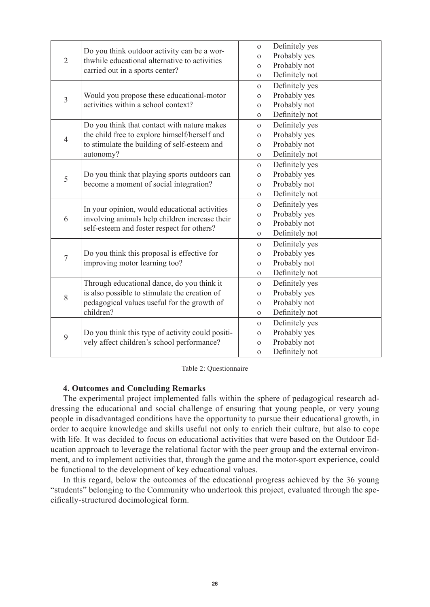| $\overline{2}$ | Do you think outdoor activity can be a wor-                                                                                                   | $\mathbf{O}$ | Definitely yes |
|----------------|-----------------------------------------------------------------------------------------------------------------------------------------------|--------------|----------------|
|                | thwhile educational alternative to activities                                                                                                 | $\mathbf{O}$ | Probably yes   |
|                | carried out in a sports center?                                                                                                               | $\Omega$     | Probably not   |
|                |                                                                                                                                               | $\mathbf{O}$ | Definitely not |
|                |                                                                                                                                               | $\Omega$     | Definitely yes |
| $\mathfrak{Z}$ | Would you propose these educational-motor                                                                                                     | $\mathbf{O}$ | Probably yes   |
|                | activities within a school context?                                                                                                           | $\mathbf{O}$ | Probably not   |
|                |                                                                                                                                               | $\Omega$     | Definitely not |
|                | Do you think that contact with nature makes                                                                                                   | $\Omega$     | Definitely yes |
| $\overline{4}$ | the child free to explore himself/herself and                                                                                                 | $\mathbf{O}$ | Probably yes   |
|                | to stimulate the building of self-esteem and                                                                                                  | $\mathbf{O}$ | Probably not   |
|                | autonomy?                                                                                                                                     | $\mathbf{O}$ | Definitely not |
|                |                                                                                                                                               | $\Omega$     | Definitely yes |
| 5              | Do you think that playing sports outdoors can<br>become a moment of social integration?                                                       | $\mathbf{O}$ | Probably yes   |
|                |                                                                                                                                               | $\mathbf{O}$ | Probably not   |
|                |                                                                                                                                               | $\mathbf{O}$ | Definitely not |
|                | In your opinion, would educational activities<br>involving animals help children increase their<br>self-esteem and foster respect for others? | $\Omega$     | Definitely yes |
| 6              |                                                                                                                                               | $\mathbf{O}$ | Probably yes   |
|                |                                                                                                                                               | $\mathbf{O}$ | Probably not   |
|                |                                                                                                                                               | $\sigma$     | Definitely not |
|                |                                                                                                                                               | $\mathbf{O}$ | Definitely yes |
| $\overline{7}$ | Do you think this proposal is effective for                                                                                                   | $\mathbf{O}$ | Probably yes   |
|                | improving motor learning too?                                                                                                                 | $\Omega$     | Probably not   |
|                |                                                                                                                                               | $\mathbf{O}$ | Definitely not |
|                | Through educational dance, do you think it                                                                                                    | $\Omega$     | Definitely yes |
| 8              | is also possible to stimulate the creation of                                                                                                 | $\mathbf{O}$ | Probably yes   |
|                | pedagogical values useful for the growth of                                                                                                   | $\mathbf{O}$ | Probably not   |
|                | children?                                                                                                                                     | $\Omega$     | Definitely not |
|                |                                                                                                                                               | $\mathbf{O}$ | Definitely yes |
|                | Do you think this type of activity could positi-                                                                                              | $\mathbf{O}$ | Probably yes   |
| 9              | vely affect children's school performance?                                                                                                    | $\mathbf{O}$ | Probably not   |
|                |                                                                                                                                               | $\mathbf{O}$ | Definitely not |

Table 2: Questionnaire

### **4. Outcomes and Concluding Remarks**

The experimental project implemented falls within the sphere of pedagogical research addressing the educational and social challenge of ensuring that young people, or very young people in disadvantaged conditions have the opportunity to pursue their educational growth, in order to acquire knowledge and skills useful not only to enrich their culture, but also to cope with life. It was decided to focus on educational activities that were based on the Outdoor Education approach to leverage the relational factor with the peer group and the external environment, and to implement activities that, through the game and the motor-sport experience, could be functional to the development of key educational values.

In this regard, below the outcomes of the educational progress achieved by the 36 young "students" belonging to the Community who undertook this project, evaluated through the specifically-structured docimological form.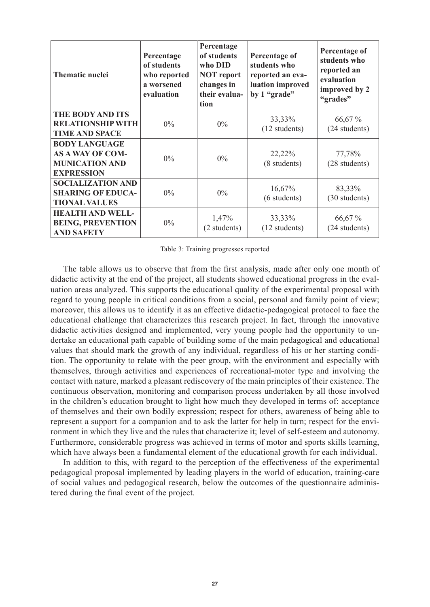| <b>Thematic nuclei</b>                                                                        | Percentage<br>of students<br>who reported<br>a worsened<br>evaluation | Percentage<br>of students<br>who DID<br><b>NOT</b> report<br>changes in<br>their evalua-<br>tion | Percentage of<br>students who<br>reported an eva-<br>luation improved<br>by 1 "grade" | Percentage of<br>students who<br>reported an<br>evaluation<br>improved by 2<br>"grades" |
|-----------------------------------------------------------------------------------------------|-----------------------------------------------------------------------|--------------------------------------------------------------------------------------------------|---------------------------------------------------------------------------------------|-----------------------------------------------------------------------------------------|
| <b>THE BODY AND ITS</b><br><b>RELATIONSHIP WITH</b><br><b>TIME AND SPACE</b>                  | $0\%$                                                                 | $0\%$                                                                                            | 33,33%<br>$(12$ students)                                                             | 66,67 %<br>(24 students)                                                                |
| <b>BODY LANGUAGE</b><br><b>AS A WAY OF COM-</b><br><b>MUNICATION AND</b><br><b>EXPRESSION</b> | $0\%$                                                                 | $0\%$                                                                                            | 22,22%<br>(8 students)                                                                | 77,78%<br>(28 students)                                                                 |
| <b>SOCIALIZATION AND</b><br><b>SHARING OF EDUCA-</b><br><b>TIONAL VALUES</b>                  | $0\%$                                                                 | $0\%$                                                                                            | 16,67%<br>(6 students)                                                                | 83,33%<br>(30 students)                                                                 |
| <b>HEALTH AND WELL-</b><br><b>BEING, PREVENTION</b><br><b>AND SAFETY</b>                      | $0\%$                                                                 | 1,47%<br>(2 students)                                                                            | 33,33%<br>$(12$ students)                                                             | 66,67 %<br>(24 students)                                                                |

Table 3: Training progresses reported

The table allows us to observe that from the first analysis, made after only one month of didactic activity at the end of the project, all students showed educational progress in the evaluation areas analyzed. This supports the educational quality of the experimental proposal with regard to young people in critical conditions from a social, personal and family point of view; moreover, this allows us to identify it as an effective didactic-pedagogical protocol to face the educational challenge that characterizes this research project. In fact, through the innovative didactic activities designed and implemented, very young people had the opportunity to undertake an educational path capable of building some of the main pedagogical and educational values that should mark the growth of any individual, regardless of his or her starting condition. The opportunity to relate with the peer group, with the environment and especially with themselves, through activities and experiences of recreational-motor type and involving the contact with nature, marked a pleasant rediscovery of the main principles of their existence. The continuous observation, monitoring and comparison process undertaken by all those involved in the children's education brought to light how much they developed in terms of: acceptance of themselves and their own bodily expression; respect for others, awareness of being able to represent a support for a companion and to ask the latter for help in turn; respect for the environment in which they live and the rules that characterize it; level of self-esteem and autonomy. Furthermore, considerable progress was achieved in terms of motor and sports skills learning, which have always been a fundamental element of the educational growth for each individual.

In addition to this, with regard to the perception of the effectiveness of the experimental pedagogical proposal implemented by leading players in the world of education, training-care of social values and pedagogical research, below the outcomes of the questionnaire administered during the final event of the project.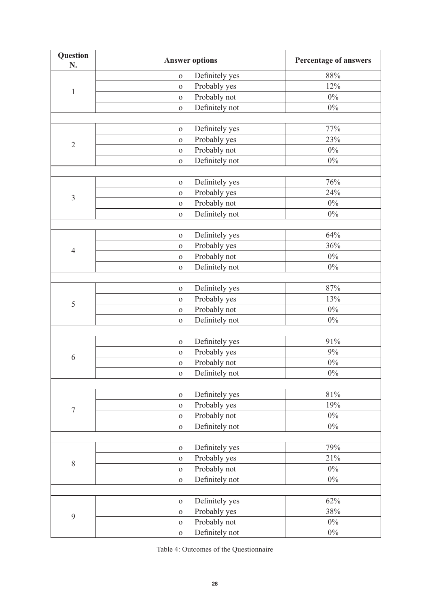| Question<br>N.   |              | <b>Answer options</b> | Percentage of answers |
|------------------|--------------|-----------------------|-----------------------|
|                  | $\mathbf{O}$ | Definitely yes        | 88%                   |
| $\mathbf{1}$     | $\mathbf{O}$ | Probably yes          | 12%                   |
|                  | $\mathbf{O}$ | Probably not          | $0\%$                 |
|                  | $\mathbf{O}$ | Definitely not        | $0\%$                 |
|                  |              |                       |                       |
|                  | $\mathbf{O}$ | Definitely yes        | 77%                   |
| $\sqrt{2}$       | $\mathbf{O}$ | Probably yes          | 23%                   |
|                  | $\mathbf{O}$ | Probably not          | $0\%$                 |
|                  | $\mathbf{O}$ | Definitely not        | $0\%$                 |
|                  |              |                       |                       |
|                  | $\mathbf{O}$ | Definitely yes        | 76%                   |
| $\mathfrak{Z}$   | $\mathbf{O}$ | Probably yes          | 24%                   |
|                  | $\mathbf{O}$ | Probably not          | $0\%$                 |
|                  | $\mathbf{O}$ | Definitely not        | $0\%$                 |
|                  |              |                       |                       |
|                  | $\mathbf{O}$ | Definitely yes        | 64%                   |
| $\overline{4}$   | $\mathbf 0$  | Probably yes          | 36%                   |
|                  | $\mathbf 0$  | Probably not          | $0\%$                 |
|                  | $\mathbf{O}$ | Definitely not        | $0\%$                 |
|                  |              |                       |                       |
|                  | $\mathbf 0$  | Definitely yes        | $87\%$                |
| $\mathfrak s$    | $\mathbf{O}$ | Probably yes          | 13%                   |
|                  | $\mathbf 0$  | Probably not          | $0\%$                 |
|                  | $\mathbf{O}$ | Definitely not        | $0\%$                 |
|                  |              |                       |                       |
|                  | $\mathbf O$  | Definitely yes        | 91%                   |
| $\sqrt{6}$       | $\mathbf{O}$ | Probably yes          | $9\%$                 |
|                  | $\mathbf O$  | Probably not          | $0\%$                 |
|                  | $\mathbf{O}$ | Definitely not        | $0\%$                 |
|                  |              |                       |                       |
|                  | $\mathbf 0$  | Definitely yes        | $81\%$                |
| $\boldsymbol{7}$ | $\mathbf 0$  | Probably yes          | 19%                   |
|                  | $\mathbf O$  | Probably not          | $0\%$                 |
|                  | $\mathbf{O}$ | Definitely not        | $0\%$                 |
|                  |              |                       |                       |
|                  | $\mathbf{O}$ | Definitely yes        | 79%                   |
| $\,$ $\,$        | $\mathbf 0$  | Probably yes          | 21%                   |
|                  | $\mathbf 0$  | Probably not          | $0\%$                 |
|                  | $\mathbf O$  | Definitely not        | $0\%$                 |
|                  |              |                       |                       |
|                  | $\mathbf O$  | Definitely yes        | 62%                   |
| 9                | $\mathbf O$  | Probably yes          | 38%                   |
|                  | $\mathbf 0$  | Probably not          | $0\%$                 |
|                  | $\mathbf O$  | Definitely not        | $0\%$                 |

Table 4: Outcomes of the Questionnaire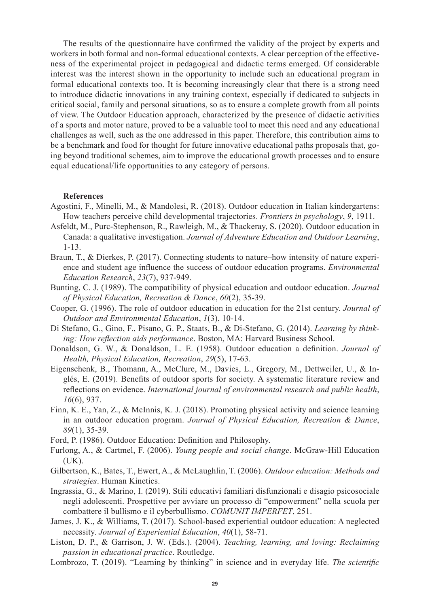The results of the questionnaire have confirmed the validity of the project by experts and workers in both formal and non-formal educational contexts. A clear perception of the effectiveness of the experimental project in pedagogical and didactic terms emerged. Of considerable interest was the interest shown in the opportunity to include such an educational program in formal educational contexts too. It is becoming increasingly clear that there is a strong need to introduce didactic innovations in any training context, especially if dedicated to subjects in critical social, family and personal situations, so as to ensure a complete growth from all points of view. The Outdoor Education approach, characterized by the presence of didactic activities of a sports and motor nature, proved to be a valuable tool to meet this need and any educational challenges as well, such as the one addressed in this paper. Therefore, this contribution aims to be a benchmark and food for thought for future innovative educational paths proposals that, going beyond traditional schemes, aim to improve the educational growth processes and to ensure equal educational/life opportunities to any category of persons.

#### **References**

- Agostini, F., Minelli, M., & Mandolesi, R. (2018). Outdoor education in Italian kindergartens: How teachers perceive child developmental trajectories. *Frontiers in psychology*, *9*, 1911.
- Asfeldt, M., Purc-Stephenson, R., Rawleigh, M., & Thackeray, S. (2020). Outdoor education in Canada: a qualitative investigation. *Journal of Adventure Education and Outdoor Learning*, 1-13.
- Braun, T., & Dierkes, P. (2017). Connecting students to nature–how intensity of nature experience and student age influence the success of outdoor education programs. *Environmental Education Research*, *23*(7), 937-949.
- Bunting, C. J. (1989). The compatibility of physical education and outdoor education. *Journal of Physical Education, Recreation & Dance*, *60*(2), 35-39.
- Cooper, G. (1996). The role of outdoor education in education for the 21st century. *Journal of Outdoor and Environmental Education*, *1*(3), 10-14.
- Di Stefano, G., Gino, F., Pisano, G. P., Staats, B., & Di-Stefano, G. (2014). *Learning by thinking: How reflection aids performance*. Boston, MA: Harvard Business School.
- Donaldson, G. W., & Donaldson, L. E. (1958). Outdoor education a definition. *Journal of Health, Physical Education, Recreation*, *29*(5), 17-63.
- Eigenschenk, B., Thomann, A., McClure, M., Davies, L., Gregory, M., Dettweiler, U., & Inglés, E. (2019). Benefits of outdoor sports for society. A systematic literature review and reflections on evidence. *International journal of environmental research and public health*, *16*(6), 937.
- Finn, K. E., Yan, Z., & McInnis, K. J. (2018). Promoting physical activity and science learning in an outdoor education program. *Journal of Physical Education, Recreation & Dance*, *89*(1), 35-39.
- Ford, P. (1986). Outdoor Education: Definition and Philosophy.
- Furlong, A., & Cartmel, F. (2006). *Young people and social change*. McGraw-Hill Education  $(UK).$
- Gilbertson, K., Bates, T., Ewert, A., & McLaughlin, T. (2006). *Outdoor education: Methods and strategies*. Human Kinetics.
- Ingrassia, G., & Marino, I. (2019). Stili educativi familiari disfunzionali e disagio psicosociale negli adolescenti. Prospettive per avviare un processo di "empowerment" nella scuola per combattere il bullismo e il cyberbullismo. *COMUNIT IMPERFET*, 251.
- James, J. K., & Williams, T. (2017). School-based experiential outdoor education: A neglected necessity. *Journal of Experiential Education*, *40*(1), 58-71.
- Liston, D. P., & Garrison, J. W. (Eds.). (2004). *Teaching, learning, and loving: Reclaiming passion in educational practice*. Routledge.
- Lombrozo, T. (2019). "Learning by thinking" in science and in everyday life. *The scientific*